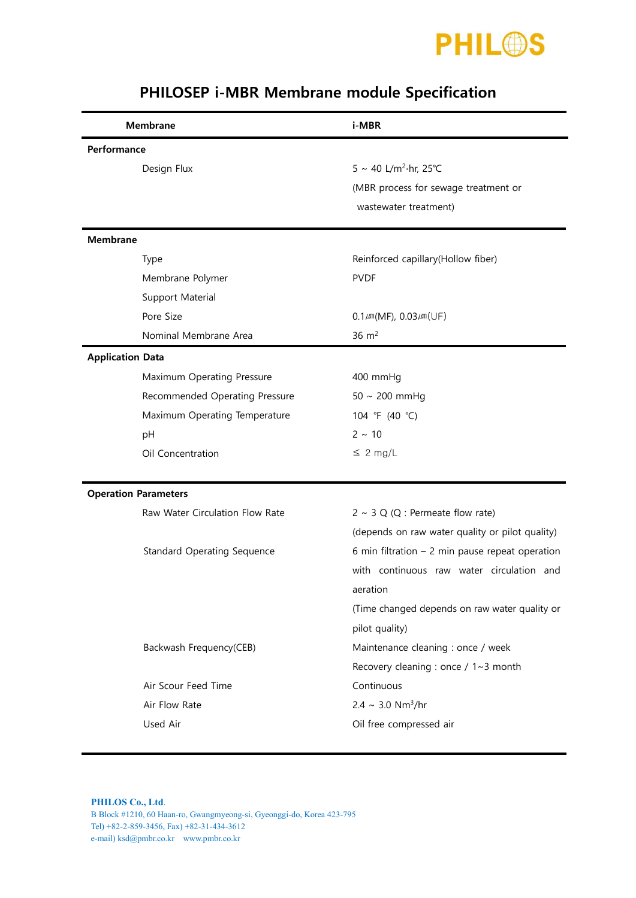

| <b>Membrane</b>                    | i-MBR                                            |  |
|------------------------------------|--------------------------------------------------|--|
| Performance                        |                                                  |  |
| Design Flux                        | 5 ~ 40 L/m <sup>2</sup> ·hr, 25°C                |  |
|                                    | (MBR process for sewage treatment or             |  |
|                                    | wastewater treatment)                            |  |
| <b>Membrane</b>                    |                                                  |  |
| Type                               | Reinforced capillary(Hollow fiber)               |  |
| Membrane Polymer                   | <b>PVDF</b>                                      |  |
| Support Material                   |                                                  |  |
| Pore Size                          | $0.1 \mu m(MF)$ , $0.03 \mu m(UF)$               |  |
| Nominal Membrane Area              | $36 \text{ m}^2$                                 |  |
| <b>Application Data</b>            |                                                  |  |
| Maximum Operating Pressure         | 400 mmHg                                         |  |
| Recommended Operating Pressure     | $50 \sim 200$ mmHg                               |  |
| Maximum Operating Temperature      | 104 °F (40 °C)                                   |  |
| pH                                 | $2 \sim 10$                                      |  |
| Oil Concentration                  | $\leq 2$ mg/L                                    |  |
| <b>Operation Parameters</b>        |                                                  |  |
| Raw Water Circulation Flow Rate    | $2 \sim 3$ Q (Q : Permeate flow rate)            |  |
|                                    | (depends on raw water quality or pilot quality)  |  |
| <b>Standard Operating Sequence</b> | 6 min filtration $-2$ min pause repeat operation |  |
|                                    | with continuous raw water circulation and        |  |
|                                    | aeration                                         |  |
|                                    | (Time changed depends on raw water quality or    |  |
|                                    | pilot quality)                                   |  |
| Backwash Frequency(CEB)            | Maintenance cleaning : once / week               |  |
|                                    | Recovery cleaning : once / 1~3 month             |  |
| Air Scour Feed Time                | Continuous                                       |  |
| Air Flow Rate                      | $2.4 \sim 3.0$ Nm <sup>3</sup> /hr               |  |
| Used Air                           | Oil free compressed air                          |  |

## PHILOSEP i-MBR Membrane module Specification

**PHILOS Co., Ltd**. B Block #1210, 60 Haan-ro, Gwangmyeong-si, Gyeonggi-do, Korea 423-795 Tel) +82-2-859-3456, Fax) +82-31-434-3612 e-mail) ksd@pmbr.co.kr www.pmbr.co.kr